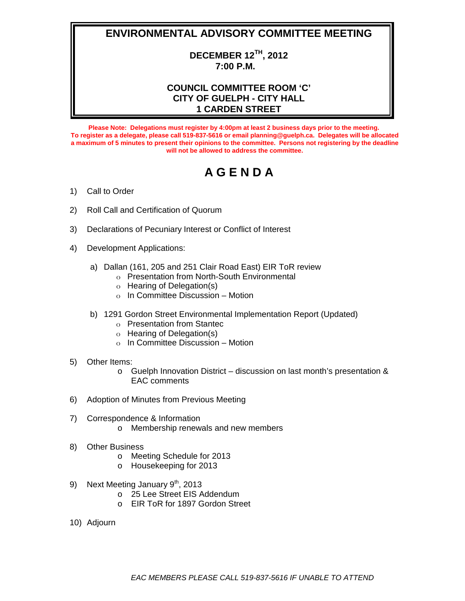## **ENVIRONMENTAL ADVISORY COMMITTEE MEETING**

## **DECEMBER 12TH, 2012 7:00 P.M.**

### **COUNCIL COMMITTEE ROOM 'C' CITY OF GUELPH - CITY HALL 1 CARDEN STREET**

**Please Note: Delegations must register by 4:00pm at least 2 business days prior to the meeting. To register as a delegate, please call 519-837-5616 or emai[l planning@guelph.ca.](mailto:planning@guelph.ca) Delegates will be allocated a maximum of 5 minutes to present their opinions to the committee. Persons not registering by the deadline will not be allowed to address the committee.**

# **A G E N D A**

- 1) Call to Order
- 2) Roll Call and Certification of Quorum
- 3) Declarations of Pecuniary Interest or Conflict of Interest
- 4) Development Applications:
	- a) Dallan (161, 205 and 251 Clair Road East) EIR ToR review
		- o Presentation from North-South Environmental
		- o Hearing of Delegation(s)
		- o In Committee Discussion Motion
	- b) 1291 Gordon Street Environmental Implementation Report (Updated)
		- o Presentation from Stantec
		- o Hearing of Delegation(s)
		- $o$  In Committee Discussion Motion
- 5) Other Items:
	- o Guelph Innovation District discussion on last month's presentation & EAC comments
- 6) Adoption of Minutes from Previous Meeting
- 7) Correspondence & Information o Membership renewals and new members
- 8) Other Business
	- o Meeting Schedule for 2013
	- o Housekeeping for 2013
- 9) Next Meeting January  $9<sup>th</sup>$ , 2013
	- o 25 Lee Street EIS Addendum
	- o EIR ToR for 1897 Gordon Street
- 10) Adjourn